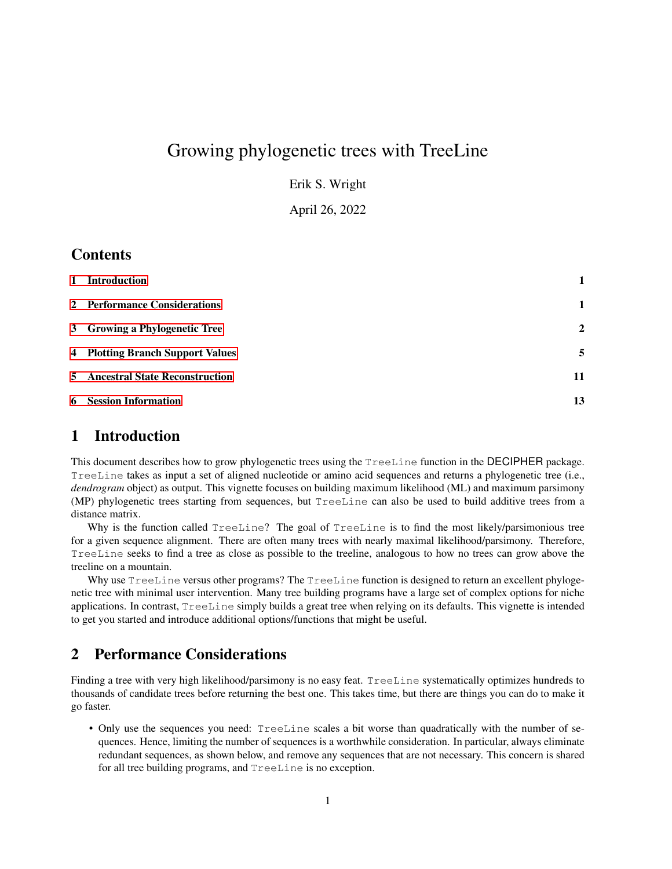# Growing phylogenetic trees with TreeLine

Erik S. Wright

April 26, 2022

#### **Contents**

| 1 Introduction                          |              |
|-----------------------------------------|--------------|
| 2 Performance Considerations            | $\mathbf{1}$ |
| 3 Growing a Phylogenetic Tree           | $\mathbf{2}$ |
| 4 Plotting Branch Support Values        | 5            |
| <b>5</b> Ancestral State Reconstruction | 11           |
| <b>6</b> Session Information            | 13           |

#### <span id="page-0-0"></span>1 Introduction

This document describes how to grow phylogenetic trees using the TreeLine function in the DECIPHER package. TreeLine takes as input a set of aligned nucleotide or amino acid sequences and returns a phylogenetic tree (i.e., *dendrogram* object) as output. This vignette focuses on building maximum likelihood (ML) and maximum parsimony (MP) phylogenetic trees starting from sequences, but TreeLine can also be used to build additive trees from a distance matrix.

Why is the function called  $T$ reeLine? The goal of  $T$ reeLine is to find the most likely/parsimonious tree for a given sequence alignment. There are often many trees with nearly maximal likelihood/parsimony. Therefore, TreeLine seeks to find a tree as close as possible to the treeline, analogous to how no trees can grow above the treeline on a mountain.

Why use TreeLine versus other programs? The TreeLine function is designed to return an excellent phylogenetic tree with minimal user intervention. Many tree building programs have a large set of complex options for niche applications. In contrast, TreeLine simply builds a great tree when relying on its defaults. This vignette is intended to get you started and introduce additional options/functions that might be useful.

#### <span id="page-0-1"></span>2 Performance Considerations

Finding a tree with very high likelihood/parsimony is no easy feat. TreeLine systematically optimizes hundreds to thousands of candidate trees before returning the best one. This takes time, but there are things you can do to make it go faster.

• Only use the sequences you need: TreeLine scales a bit worse than quadratically with the number of sequences. Hence, limiting the number of sequences is a worthwhile consideration. In particular, always eliminate redundant sequences, as shown below, and remove any sequences that are not necessary. This concern is shared for all tree building programs, and TreeLine is no exception.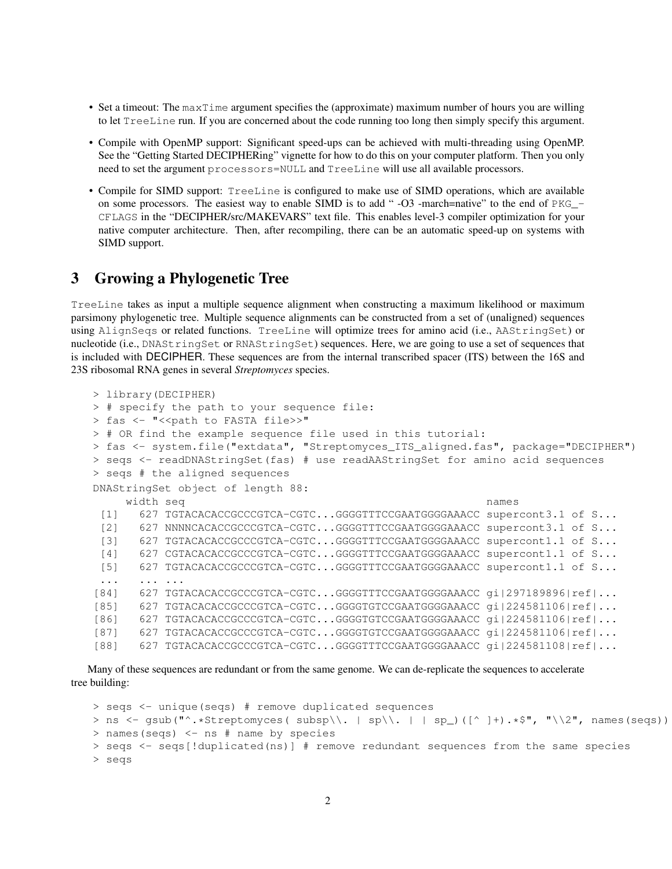- Set a timeout: The maxTime argument specifies the (approximate) maximum number of hours you are willing to let TreeLine run. If you are concerned about the code running too long then simply specify this argument.
- Compile with OpenMP support: Significant speed-ups can be achieved with multi-threading using OpenMP. See the "Getting Started DECIPHERing" vignette for how to do this on your computer platform. Then you only need to set the argument processors=NULL and TreeLine will use all available processors.
- Compile for SIMD support: TreeLine is configured to make use of SIMD operations, which are available on some processors. The easiest way to enable SIMD is to add "-O3 -march=native" to the end of PKG\_-CFLAGS in the "DECIPHER/src/MAKEVARS" text file. This enables level-3 compiler optimization for your native computer architecture. Then, after recompiling, there can be an automatic speed-up on systems with SIMD support.

#### <span id="page-1-0"></span>3 Growing a Phylogenetic Tree

TreeLine takes as input a multiple sequence alignment when constructing a maximum likelihood or maximum parsimony phylogenetic tree. Multiple sequence alignments can be constructed from a set of (unaligned) sequences using AlignSeqs or related functions. TreeLine will optimize trees for amino acid (i.e., AAStringSet) or nucleotide (i.e., DNAStringSet or RNAStringSet) sequences. Here, we are going to use a set of sequences that is included with DECIPHER. These sequences are from the internal transcribed spacer (ITS) between the 16S and 23S ribosomal RNA genes in several *Streptomyces* species.

```
> library(DECIPHER)
> # specify the path to your sequence file:
> fas <- "<< path to FASTA file>>"
> # OR find the example sequence file used in this tutorial:
> fas <- system.file("extdata", "Streptomyces_ITS_aligned.fas", package="DECIPHER")
> seqs <- readDNAStringSet(fas) # use readAAStringSet for amino acid sequences
> seqs # the aligned sequences
DNAStringSet object of length 88:
    width seq names
 [1] 627 TGTACACACCGCCCGTCA-CGTC...GGGGTTTCCGAATGGGGAAACC supercont3.1 of S...
 [2] 627 NNNNCACACCGCCCGTCA-CGTC...GGGGTTTCCGAATGGGGAAACC supercont3.1 of S...
 [3] 627 TGTACACACCGCCCGTCA-CGTC...GGGGTTTCCGAATGGGGAAACC supercont1.1 of S...
 [4] 627 CGTACACACCGCCCGTCA-CGTC...GGGGTTTCCGAATGGGGAAACC supercont1.1 of S...
 [5] 627 TGTACACACCGCCCGTCA-CGTC...GGGGTTTCCGAATGGGGAAACC supercont1.1 of S...
 ... ... ...
[84] 627 TGTACACACCGCCCGTCA-CGTC...GGGGTTTCCGAATGGGGAAACC gi|297189896|ref|...
[85] 627 TGTACACACCGCCCGTCA-CGTC...GGGGTGTCCGAATGGGGAAACC gi|224581106|ref|...
[86] 627 TGTACACACCGCCCGTCA-CGTC...GGGGTGTCCGAATGGGGAAACC gi|224581106|ref|...
[87] 627 TGTACACACCGCCCGTCA-CGTC...GGGGTGTCCGAATGGGGAAACC gi|224581106|ref|...
[88] 627 TGTACACACCGCCCGTCA-CGTC...GGGGTTTCCGAATGGGGAAACC gi|224581108|ref|...
```
Many of these sequences are redundant or from the same genome. We can de-replicate the sequences to accelerate tree building:

```
> seqs <- unique(seqs) # remove duplicated sequences
> ns <- gsub("^.*Streptomyces( subsp\\. | sp\\. | | sp_)([^ ]+).*$", "\\2", names(seqs))
> names(seqs) <- ns # name by species
> seqs <- seqs[!duplicated(ns)] # remove redundant sequences from the same species
> seqs
```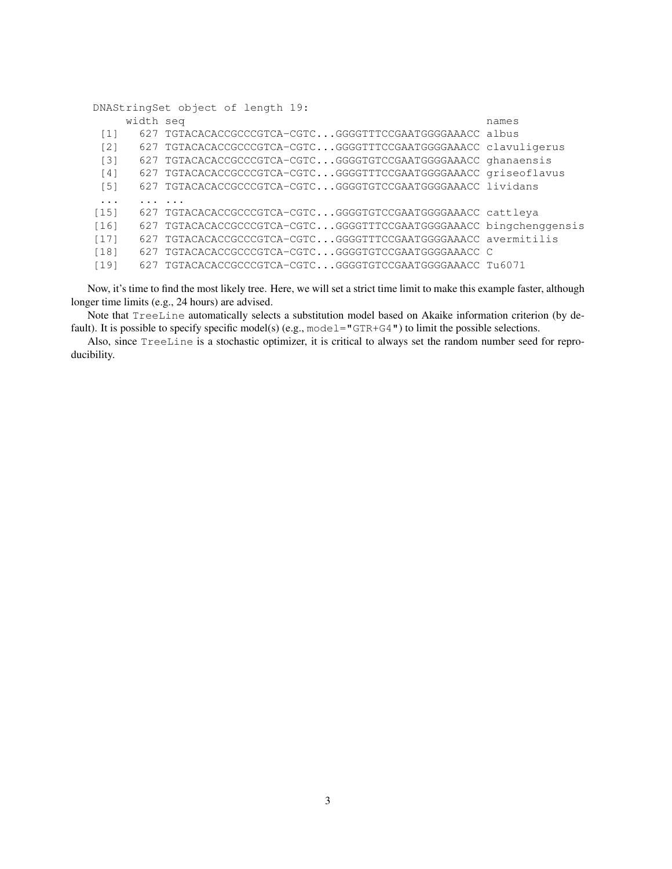DNAStringSet object of length 19: width seq names [1] 627 TGTACACACCGCCCGTCA-CGTC...GGGGTTTCCGAATGGGGAAACC albus [2] 627 TGTACACACCGCCCGTCA-CGTC...GGGGTTTCCGAATGGGGAAACC clavuligerus [3] 627 TGTACACACCGCCCGTCA-CGTC...GGGGTGTCCGAATGGGGAAACC ghanaensis [4] 627 TGTACACACCGCCCGTCA-CGTC...GGGGTTTCCGAATGGGGAAACC griseoflavus [5] 627 TGTACACACCGCCCGTCA-CGTC...GGGGTGTCCGAATGGGGAAACC lividans ... ... ... [15] 627 TGTACACACCGCCCGTCA-CGTC...GGGGTGTCCGAATGGGGAAACC cattleya [16] 627 TGTACACACCGCCCGTCA-CGTC...GGGGTTTCCGAATGGGGAAACC bingchenggensis [17] 627 TGTACACACCGCCCGTCA-CGTC...GGGGTTTCCGAATGGGGAAACC avermitilis [18] 627 TGTACACACCGCCCGTCA-CGTC...GGGGTGTCCGAATGGGGAAACC C [19] 627 TGTACACACCGCCCGTCA-CGTC...GGGGTGTCCGAATGGGGAAACC Tu6071

Now, it's time to find the most likely tree. Here, we will set a strict time limit to make this example faster, although longer time limits (e.g., 24 hours) are advised.

Note that TreeLine automatically selects a substitution model based on Akaike information criterion (by default). It is possible to specify specific model(s) (e.g., model=" $GTR+G4"$ ) to limit the possible selections.

Also, since TreeLine is a stochastic optimizer, it is critical to always set the random number seed for reproducibility.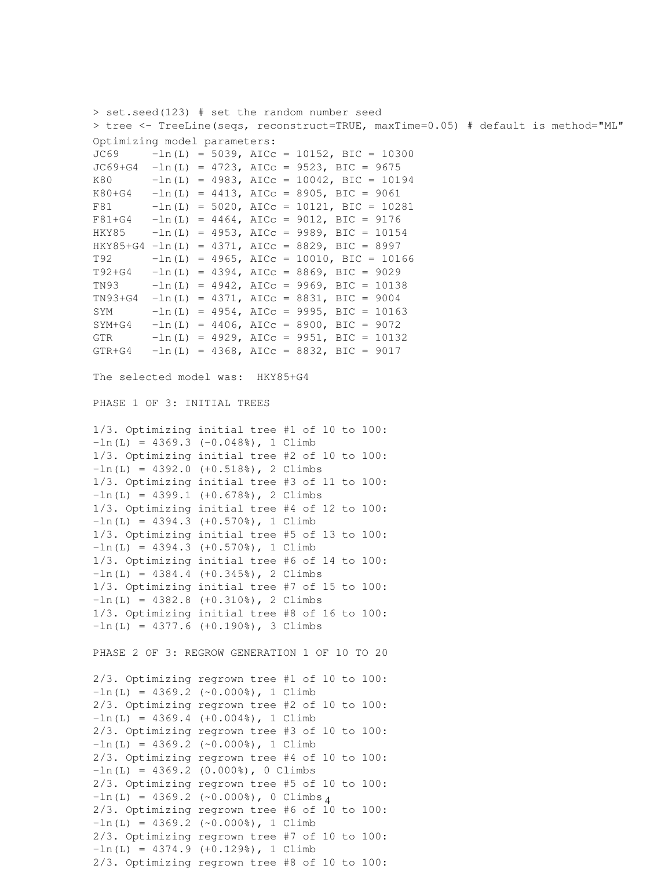> set.seed(123) # set the random number seed > tree <- TreeLine(seqs, reconstruct=TRUE, maxTime=0.05) # default is method="ML" Optimizing model parameters:  $JCG9$  -ln(L) = 5039, AICc = 10152, BIC = 10300  $JC69+G4 -ln(L) = 4723$ , AICc = 9523, BIC = 9675 K80  $-\ln(L) = 4983$ , AICc = 10042, BIC = 10194  $K80+G4$  -ln(L) = 4413, AICc = 8905, BIC = 9061 F81 -ln(L) = 5020, AICc = 10121, BIC = 10281  $F81+G4$  -ln(L) = 4464, AICc = 9012, BIC = 9176 HKY85 -ln(L) = 4953, AICc = 9989, BIC = 10154 HKY85+G4  $-\ln(L) = 4371$ , AICc = 8829, BIC = 8997 T92  $-\ln(L) = 4965$ , AICc = 10010, BIC = 10166  $T92+G4$  -ln(L) = 4394, AICc = 8869, BIC = 9029 TN93 -ln(L) = 4942, AICc = 9969, BIC = 10138  $TN93+G4 -ln(L) = 4371$ , AICc = 8831, BIC = 9004 SYM  $-ln(L) = 4954$ , AICc = 9995, BIC = 10163  $SYM+G4$  -ln(L) = 4406, AICc = 8900, BIC = 9072 GTR  $-\ln(L) = 4929$ , AICc = 9951, BIC = 10132 GTR+G4  $-ln(L) = 4368$ , AICc = 8832, BIC = 9017 The selected model was: HKY85+G4 PHASE 1 OF 3: INITIAL TREES 1/3. Optimizing initial tree #1 of 10 to 100:  $-ln(L) = 4369.3 (-0.0488)$ , 1 Climb 1/3. Optimizing initial tree #2 of 10 to 100:  $-ln(L) = 4392.0$  (+0.518%), 2 Climbs 1/3. Optimizing initial tree #3 of 11 to 100:  $-ln(L) = 4399.1$  (+0.678%), 2 Climbs 1/3. Optimizing initial tree #4 of 12 to 100:  $-ln(L) = 4394.3$   $(+0.570%)$ , 1 Climb 1/3. Optimizing initial tree #5 of 13 to 100:  $-ln(L) = 4394.3$  (+0.570%), 1 Climb 1/3. Optimizing initial tree #6 of 14 to 100:  $-ln(L) = 4384.4$   $(+0.345%)$ , 2 Climbs 1/3. Optimizing initial tree #7 of 15 to 100:  $-ln(L) = 4382.8$  (+0.310%), 2 Climbs 1/3. Optimizing initial tree #8 of 16 to 100:  $-ln(L) = 4377.6 (+0.190%), 3 Climbs$ PHASE 2 OF 3: REGROW GENERATION 1 OF 10 TO 20 2/3. Optimizing regrown tree #1 of 10 to 100:  $-ln(L) = 4369.2$  (~0.000%), 1 Climb 2/3. Optimizing regrown tree #2 of 10 to 100:  $-ln(L) = 4369.4$   $(+0.004%)$ , 1 Climb 2/3. Optimizing regrown tree #3 of 10 to 100:  $-ln(L) = 4369.2$  (~0.000%), 1 Climb 2/3. Optimizing regrown tree #4 of 10 to 100:  $-ln(L) = 4369.2 (0.0008), 0 Climbs$ 2/3. Optimizing regrown tree #5 of 10 to 100:  $-ln(L) = 4369.2$  (~0.000%), 0 Climbs 4 2/3. Optimizing regrown tree #6 of 10 to 100:  $-ln(L) = 4369.2$  (~0.000%), 1 Climb 2/3. Optimizing regrown tree #7 of 10 to 100:  $-ln(L) = 4374.9 (+0.1298), 1 Climb$ 

2/3. Optimizing regrown tree #8 of 10 to 100: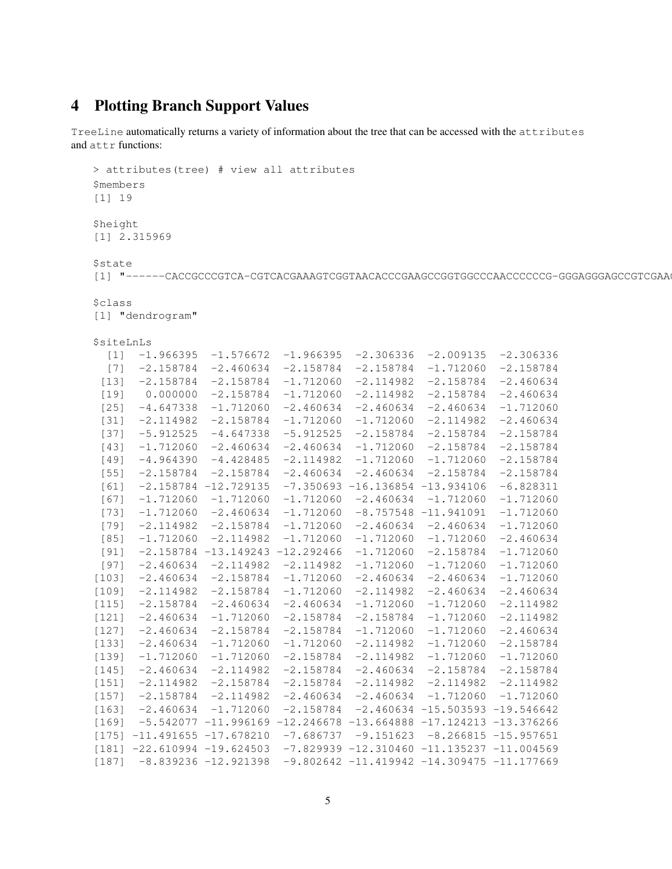### <span id="page-4-0"></span>4 Plotting Branch Support Values

TreeLine automatically returns a variety of information about the tree that can be accessed with the attributes and attr functions:

```
> attributes(tree) # view all attributes
$members
[1] 19
$height
[1] 2.315969
$state
[1] "------CACCGCCCGTCA-CGTCACGAAAGTCGGTAACACCCGAAGCCGGTGGCCCAACCCCCG-GGGAGGGAGCCGTCGAA
$class
[1] "dendrogram"
$siteLnLs
  \begin{bmatrix} 1 & -1.966395 & -1.576672 & -1.966395 & -2.306336 & -2.009135 & -2.306336 \end{bmatrix}[7] -2.158784 -2.460634 -2.158784 -2.158784 -1.712060 -2.158784
 [13] -2.158784 -2.158784 -1.712060 -2.114982 -2.158784 -2.460634
 [19] 0.000000 -2.158784 -1.712060 -2.114982 -2.158784 -2.460634
 \begin{bmatrix} 25 & -4.647338 & -1.712060 & -2.460634 & -2.460634 & -2.460634 & -1.712060 \end{bmatrix}[31] -2.114982 -2.158784 -1.712060 -1.712060 -2.114982 -2.460634
 [37] -5.912525 -4.647338 -5.912525 -2.158784 -2.158784 -2.158784
 [43] -1.712060 -2.460634 -2.460634 -1.712060 -2.158784 -2.158784
 [49] -4.964390 -4.428485 -2.114982 -1.712060 -1.712060 -2.158784
 [55] -2.158784 -2.158784 -2.460634 -2.460634 -2.158784 -2.158784
 [61] -2.158784 -12.729135 -7.350693 -16.136854 -13.934106 -6.828311
 [67] -1.712060 -1.712060 -1.712060 -2.460634 -1.712060 -1.712060
 [73] -1.712060 -2.460634 -1.712060 -8.757548 -11.941091 -1.712060
 [79] -2.114982 -2.158784 -1.712060 -2.460634 -2.460634 -1.712060
 [85] -1.712060 -2.114982 -1.712060 -1.712060 -1.712060 -2.460634
 [91] -2.158784 -13.149243 -12.292466 -1.712060 -2.158784 -1.712060
 [97] -2.460634 -2.114982 -2.114982 -1.712060 -1.712060 -1.712060
[103] -2.460634 -2.158784 -1.712060 -2.460634 -2.460634 -1.712060
[109] -2.114982 -2.158784 -1.712060 -2.114982 -2.460634 -2.460634
[115] -2.158784 -2.460634 -2.460634 -1.712060 -1.712060 -2.114982
\begin{bmatrix} 121 & -2.460634 & -1.712060 & -2.158784 & -2.158784 & -1.712060 & -2.114982 \end{bmatrix}[127] -2.460634 -2.158784 -2.158784 -1.712060 -1.712060 -2.460634
\begin{array}{cccc} \n 133 & -2.460634 & -1.712060 & -1.712060 & -2.114982 & -1.712060 & -2.158784\n \end{array}[139] -1.712060 -1.712060 -2.158784 -2.114982 -1.712060 -1.712060
[145] -2.460634 -2.114982 -2.158784 -2.460634 -2.158784 -2.158784
[151] -2.114982 -2.158784 -2.158784 -2.114982 -2.114982 -2.114982
\begin{array}{cccc} \n [157] & -2.158784 & -2.114982 & -2.460634 & -2.460634 & -1.712060 \n \end{array}\begin{bmatrix} 163 & -2.460634 & -1.712060 & -2.158784 & -2.460634 & -15.503593 & -19.546642 \end{bmatrix}[169] -5.542077 -11.996169 -12.246678 -13.664888 -17.124213 -13.376266
[175] -11.491655 -17.678210 -7.686737 -9.151623 -8.266815 -15.957651
[181] -22.610994 -19.624503 -7.829939 -12.310460 -11.135237 -11.004569[187] -8.839236 -12.921398 -9.802642 -11.419942 -14.309475 -11.177669
```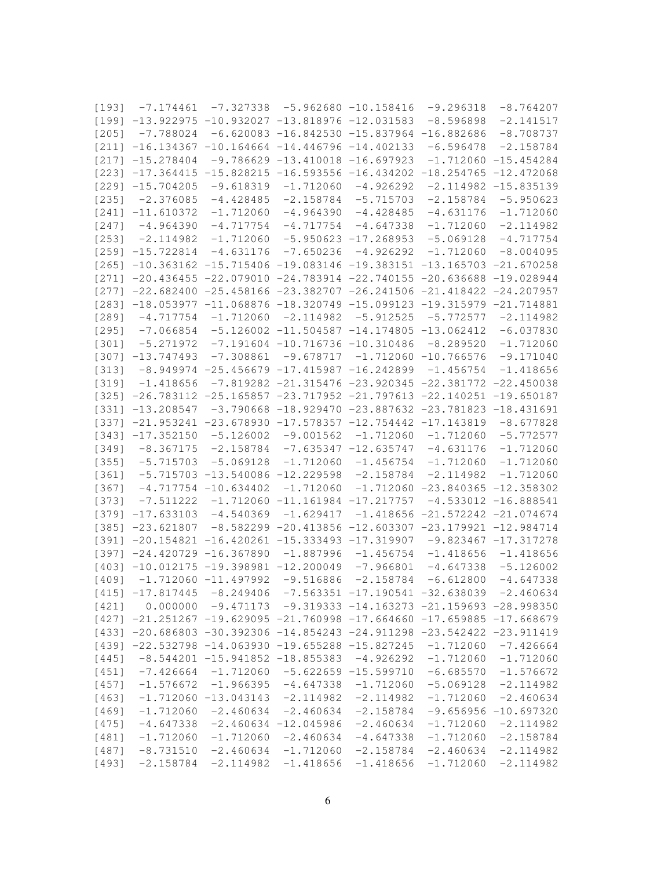| [193]   | $-7.174461$                                                               | $-7.327338$                                  |                                    | $-5.962680 - 10.158416$                                                       | $-9.296318$                       | $-8.764207$            |
|---------|---------------------------------------------------------------------------|----------------------------------------------|------------------------------------|-------------------------------------------------------------------------------|-----------------------------------|------------------------|
|         | $[199]$ -13.922975 -10.932027 -13.818976 -12.031583                       |                                              |                                    |                                                                               | $-8.596898$                       | $-2.141517$            |
| [205]   | $-7.788024$                                                               |                                              |                                    | $-6.620083 -16.842530 -15.837964 -16.882686$                                  |                                   | $-8.708737$            |
| $[211]$ | $-16.134367 - 10.164664 - 14.446796 - 14.402133$                          |                                              |                                    |                                                                               | $-6.596478$                       | $-2.158784$            |
| [217]   | $-15.278404$                                                              |                                              | $-9.786629 -13.410018 -16.697923$  |                                                                               | $-1.712060$                       | $-15.454284$           |
| [223]   | $-17.364415$                                                              |                                              |                                    | $-15.828215 -16.593556 -16.434202$                                            | $-18.254765$                      | $-12.472068$           |
| [229]   | $-15.704205$                                                              | $-9.618319$                                  | $-1.712060$                        | $-4.926292$                                                                   | $-2.114982$                       | $-15.835139$           |
| [235]   | $-2.376085$                                                               | $-4.428485$                                  | $-2.158784$                        | $-5.715703$                                                                   | $-2.158784$                       | $-5.950623$            |
| $[241]$ | $-11.610372$                                                              | $-1.712060$                                  | $-4.964390$                        | $-4.428485$                                                                   | $-4.631176$                       | $-1.712060$            |
| [247]   | $-4.964390$                                                               | $-4.717754$                                  | $-4.717754$                        | $-4.647338$                                                                   | $-1.712060$                       | $-2.114982$            |
| [253]   | $-2.114982$                                                               | $-1.712060$                                  |                                    | $-5.950623 -17.268953$                                                        | $-5.069128$                       | $-4.717754$            |
| $[259]$ | $-15.722814$                                                              | $-4.631176$                                  | $-7.650236$                        | $-4.926292$                                                                   | $-1.712060$                       | $-8.004095$            |
| [265]   | $-10.363162$                                                              |                                              |                                    | $-15.715406 -19.083146 -19.383151 -13.165703$                                 |                                   | $-21.670258$           |
| [271]   |                                                                           |                                              |                                    | $-20.436455 -22.079010 -24.783914 -22.740155 -20.636688$                      |                                   | $-19.028944$           |
| $[277]$ | $-22.682400$                                                              |                                              |                                    | $-25.458166 - 23.382707 - 26.241506 - 21.418422$                              |                                   | $-24.207957$           |
| [283]   |                                                                           |                                              |                                    | $-18.053977 -11.068876 -18.320749 -15.099123 -19.315979 -21.714881$           |                                   |                        |
| [289]   | $-4.717754$                                                               | $-1.712060$                                  | $-2.114982$                        | $-5.912525$                                                                   | $-5.772577$                       | $-2.114982$            |
| [295]   | $-7.066854$                                                               |                                              |                                    | $-5.126002 -11.504587 -14.174805 -13.062412$                                  |                                   | $-6.037830$            |
| [301]   |                                                                           |                                              |                                    |                                                                               | $-8.289520$                       |                        |
| [307]   | $-5.271972$                                                               |                                              | $-7.191604 -10.716736 -10.310486$  |                                                                               |                                   | $-1.712060$            |
|         | $-13.747493$                                                              | $-7.308861$                                  |                                    | $-9.678717 -1.712060 -10.766576$                                              |                                   | $-9.171040$            |
| [313]   |                                                                           | $-8.949974 -25.456679 -17.415987 -16.242899$ |                                    |                                                                               | $-1.456754$                       | $-1.418656$            |
| [319]   | $-1.418656$                                                               |                                              |                                    | $-7.819282 -21.315476 -23.920345 -22.381772$                                  |                                   | $-22.450038$           |
| [325]   |                                                                           |                                              |                                    | $-26.783112$ $-25.165857$ $-23.717952$ $-21.797613$ $-22.140251$ $-19.650187$ |                                   |                        |
| [331]   | $-13.208547$                                                              |                                              |                                    | $-3.790668 - 18.929470 - 23.887632 - 23.781823 - 18.431691$                   |                                   |                        |
| [337]   |                                                                           |                                              |                                    | $-21.953241 - 23.678930 - 17.578357 - 12.754442 - 17.143819$                  |                                   | $-8.677828$            |
| [343]   | $-17.352150$                                                              | $-5.126002$                                  | $-9.001562$                        | $-1.712060$                                                                   | $-1.712060$                       | $-5.772577$            |
| [349]   | $-8.367175$                                                               | $-2.158784$                                  |                                    | $-7.635347 -12.635747$                                                        | $-4.631176$                       | $-1.712060$            |
| [355]   | $-5.715703$                                                               | $-5.069128$                                  | $-1.712060$                        | $-1.456754$                                                                   | $-1.712060$                       | $-1.712060$            |
| [361]   | $-5.715703$                                                               |                                              | $-13.540086 -12.229598$            | $-2.158784$                                                                   | $-2.114982$                       | $-1.712060$            |
| [367]   |                                                                           | $-4.717754 - 10.634402$                      | $-1.712060$                        |                                                                               | $-1.712060 -23.840365 -12.358302$ |                        |
| [373]   | $-7.511222$                                                               |                                              | $-1.712060 -11.161984 -17.217757$  |                                                                               |                                   | $-4.533012 -16.888541$ |
| [379]   | $-17.633103$                                                              | $-4.540369$                                  | $-1.629417$                        |                                                                               | $-1.418656 -21.572242 -21.074674$ |                        |
| [385]   | $-23.621807$                                                              |                                              |                                    | $-8.582299$ $-20.413856$ $-12.603307$ $-23.179921$ $-12.984714$               |                                   |                        |
| $[391]$ | $-20.154821$                                                              |                                              | $-16.420261 -15.333493 -17.319907$ |                                                                               |                                   | $-9.823467 -17.317278$ |
| [397]   |                                                                           | $-24.420729 -16.367890$                      | $-1.887996$                        | $-1.456754$                                                                   | $-1.418656$                       | $-1.418656$            |
| $[403]$ | $-10.012175$                                                              | $-19.398981 -12.200049$                      |                                    | $-7.966801$                                                                   | $-4.647338$                       | $-5.126002$            |
| [409]   |                                                                           | $-1.712060 -11.497992$                       | $-9.516886$                        | $-2.158784$                                                                   | $-6.612800$                       | $-4.647338$            |
|         | $[415]$ -17.817445 -8.249406 -7.563351 -17.190541 -32.638039              |                                              |                                    |                                                                               |                                   | $-2.460634$            |
|         | $[421]$ 0.000000 -9.471173 -9.319333 -14.163273 -21.159693 -28.998350     |                                              |                                    |                                                                               |                                   |                        |
|         | $[427]$ -21.251267 -19.629095 -21.760998 -17.664660 -17.659885 -17.668679 |                                              |                                    |                                                                               |                                   |                        |
|         | $[433]$ -20.686803 -30.392306 -14.854243 -24.911298 -23.542422 -23.911419 |                                              |                                    |                                                                               |                                   |                        |
|         | $[439]$ -22.532798 -14.063930 -19.655288 -15.827245                       |                                              |                                    |                                                                               | $-1.712060$                       | $-7.426664$            |
|         | $[445]$ -8.544201 -15.941852 -18.855383 -4.926292                         |                                              |                                    |                                                                               | $-1.712060$                       | $-1.712060$            |
|         | $[451]$ -7.426664                                                         | $-1.712060$                                  |                                    | $-5.622659 -15.599710$                                                        | $-6.685570$                       | $-1.576672$            |
| $[457]$ | $-1.576672$                                                               | $-1.966395$                                  | $-4.647338$                        | $-1.712060$                                                                   | $-5.069128$                       | $-2.114982$            |
| [463]   |                                                                           | $-1.712060 -13.043143$                       | $-2.114982$                        | $-2.114982$                                                                   | $-1.712060$                       | $-2.460634$            |
| [469]   | $-1.712060$                                                               | $-2.460634$                                  | $-2.460634$                        | $-2.158784$                                                                   |                                   | $-9.656956 -10.697320$ |
| [475]   | $-4.647338$                                                               |                                              | $-2.460634 -12.045986$             | $-2.460634$                                                                   | $-1.712060$                       | $-2.114982$            |
| [481]   | $-1.712060$                                                               | $-1.712060$                                  | $-2.460634$                        | $-4.647338$                                                                   | $-1.712060$                       | $-2.158784$            |
| [487]   | $-8.731510$                                                               | $-2.460634$                                  | $-1.712060$                        | $-2.158784$                                                                   | $-2.460634$                       | $-2.114982$            |
| [493]   | $-2.158784 -2.114982$                                                     |                                              |                                    | $-1.418656 -1.418656$                                                         | $-1.712060$                       | $-2.114982$            |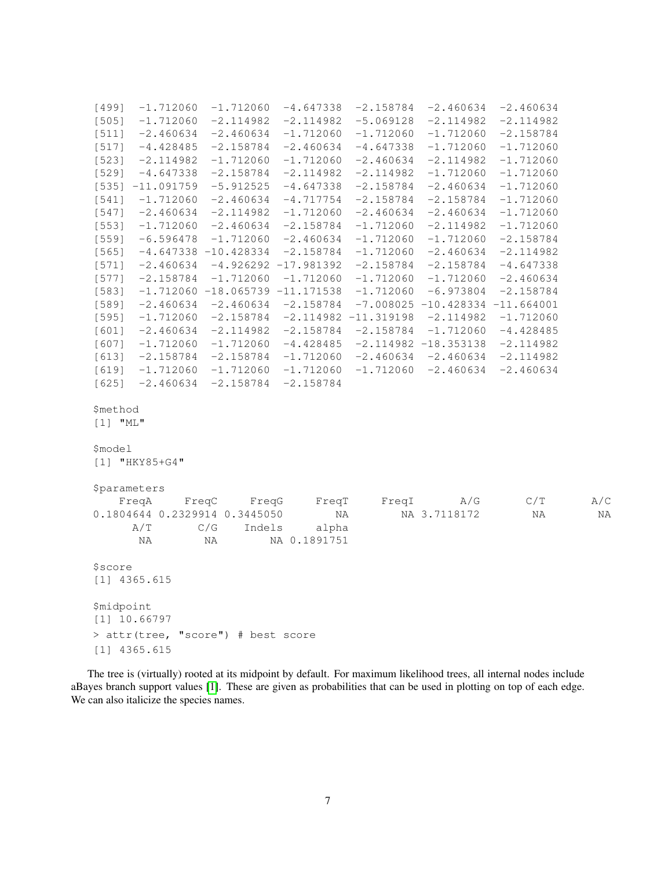| $-1.712060$<br>[499]                   | $-1.712060$                       | $-4.647338$            | $-2.158784$            | $-2.460634$                       | $-2.460634$ |     |
|----------------------------------------|-----------------------------------|------------------------|------------------------|-----------------------------------|-------------|-----|
| [505]<br>$-1.712060$                   | $-2.114982$                       | $-2.114982$            | $-5.069128$            | $-2.114982$                       | $-2.114982$ |     |
| $-2.460634$<br>$[511]$                 | $-2.460634$                       | $-1.712060$            | $-1.712060$            | $-1.712060$                       | $-2.158784$ |     |
| $-4.428485$<br>[517]                   | $-2.158784$                       | $-2.460634$            | $-4.647338$            | $-1.712060$                       | $-1.712060$ |     |
| [523]<br>$-2.114982$                   | $-1.712060$                       | $-1.712060$            | $-2.460634$            | $-2.114982$                       | $-1.712060$ |     |
| [529]<br>$-4.647338$                   | $-2.158784$                       | $-2.114982$            | $-2.114982$            | $-1.712060$                       | $-1.712060$ |     |
| $[535] -11.091759$                     | $-5.912525$                       | $-4.647338$            | $-2.158784$            | $-2.460634$                       | $-1.712060$ |     |
| $-1.712060$<br>$[541]$                 | $-2.460634$                       | $-4.717754$            | $-2.158784$            | $-2.158784$                       | $-1.712060$ |     |
| [547]<br>$-2.460634$                   | $-2.114982$                       | $-1.712060$            | $-2.460634$            | $-2.460634$                       | $-1.712060$ |     |
| [553]<br>$-1.712060$                   | $-2.460634$                       | $-2.158784$            | $-1.712060$            | $-2.114982$                       | $-1.712060$ |     |
| [559]<br>$-6.596478$                   | $-1.712060$                       | $-2.460634$            | $-1.712060$            | $-1.712060$                       | $-2.158784$ |     |
| [565]                                  | $-4.647338 - 10.428334$           | $-2.158784$            | $-1.712060$            | $-2.460634$                       | $-2.114982$ |     |
| $-2.460634$<br>[571]                   |                                   | $-4.926292 -17.981392$ | $-2.158784$            | $-2.158784$                       | $-4.647338$ |     |
| [577]<br>$-2.158784$                   | $-1.712060$                       | $-1.712060$            | $-1.712060$            | $-1.712060$                       | $-2.460634$ |     |
| [583]                                  | $-1.712060 -18.065739 -11.171538$ |                        | $-1.712060$            | $-6.973804$                       | $-2.158784$ |     |
| [589]<br>$-2.460634$                   | $-2.460634$                       | $-2.158784$            |                        | $-7.008025 -10.428334 -11.664001$ |             |     |
| [595]<br>$-1.712060$                   | $-2.158784$                       |                        | $-2.114982 -11.319198$ | $-2.114982$                       | $-1.712060$ |     |
| $-2.460634$<br>$[601]$                 | $-2.114982$                       | $-2.158784$            | $-2.158784$            | $-1.712060$                       | $-4.428485$ |     |
| [607]<br>$-1.712060$                   | $-1.712060$                       | $-4.428485$            |                        | $-2.114982 -18.353138$            | $-2.114982$ |     |
| $[613]$<br>$-2.158784$                 | $-2.158784$                       | $-1.712060$            | $-2.460634$            | $-2.460634$                       | $-2.114982$ |     |
| $[619]$<br>$-1.712060$                 | $-1.712060$                       | $-1.712060$            | $-1.712060$            | $-2.460634$                       | $-2.460634$ |     |
| $[625]$<br>$-2.460634$                 | $-2.158784$                       | $-2.158784$            |                        |                                   |             |     |
| \$method<br>$\lceil 1 \rceil$ "ML"     |                                   |                        |                        |                                   |             |     |
| \$model<br>$[1]$ "HKY85+G4"            |                                   |                        |                        |                                   |             |     |
|                                        |                                   |                        |                        |                                   |             |     |
| <i><b>\$parameters</b></i>             |                                   |                        | FreqI                  | $\rm A/G$                         | C/T         | A/C |
| FreqA<br>0.1804644 0.2329914 0.3445050 | FreqC<br>FreqG                    | FreqT<br>ΝA            |                        | NA 3.7118172                      | ΝA          | NA  |
| $\mathtt{A}/\mathtt{T}$                | C/G<br>Indels                     | alpha                  |                        |                                   |             |     |
| ΝA                                     | ΝA                                | NA 0.1891751           |                        |                                   |             |     |
|                                        |                                   |                        |                        |                                   |             |     |
| \$score                                |                                   |                        |                        |                                   |             |     |
| $[1]$ 4365.615                         |                                   |                        |                        |                                   |             |     |
| <i><b>\$midpoint</b></i>               |                                   |                        |                        |                                   |             |     |
| $[1]$ 10.66797                         |                                   |                        |                        |                                   |             |     |
| > attr(tree, "score") # best score     |                                   |                        |                        |                                   |             |     |
|                                        |                                   |                        |                        |                                   |             |     |
| $[1]$ 4365.615                         |                                   |                        |                        |                                   |             |     |

The tree is (virtually) rooted at its midpoint by default. For maximum likelihood trees, all internal nodes include aBayes branch support values [\[1\]](#page-12-1). These are given as probabilities that can be used in plotting on top of each edge. We can also italicize the species names.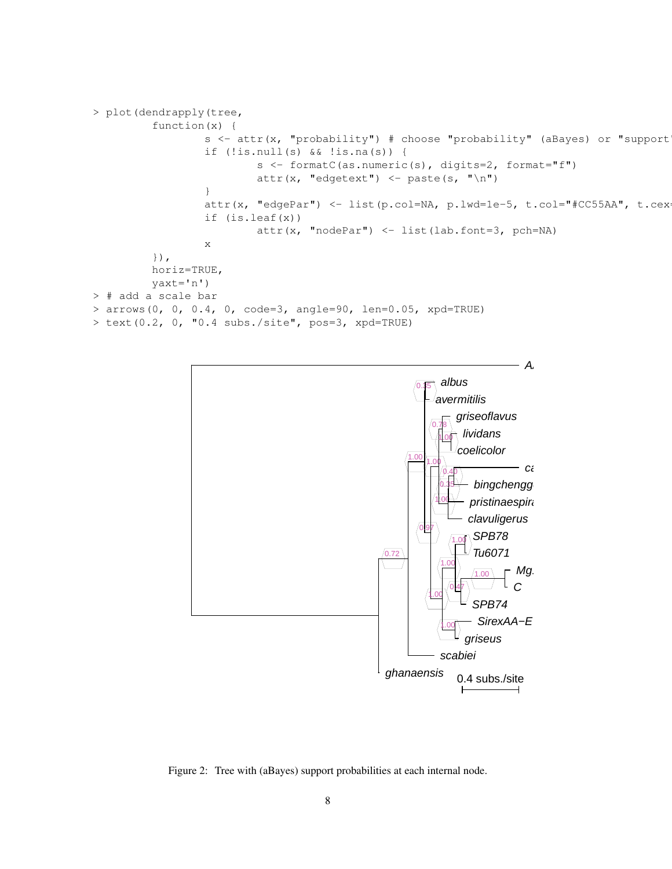```
> plot(dendrapply(tree,
         function(x) {
                 s <- attr(x, "probability") # choose "probability" (aBayes) or "support
                 if (!is.null(s) && !is.na(s)) {
                         s <- formatC(as.numeric(s), digits=2, format="f")
                         attr(x, "edgetext") <- paste(s, "\n")
                 }
                 attr(x, "edgePar") <- list(p.col=NA, p.lwd=1e-5, t.col="#CC55AA", t.cex
                 if (is.leaf(x))
                         attr(x, 'nodePar') < - list(lab.font=3, pch=NA)x
         }),
         horiz=TRUE,
         yaxt='n')
> # add a scale bar
> arrows(0, 0, 0.4, 0, code=3, angle=90, len=0.05, xpd=TRUE)
> text(0.2, 0, "0.4 subs./site", pos=3, xpd=TRUE)
```


Figure 2: Tree with (aBayes) support probabilities at each internal node.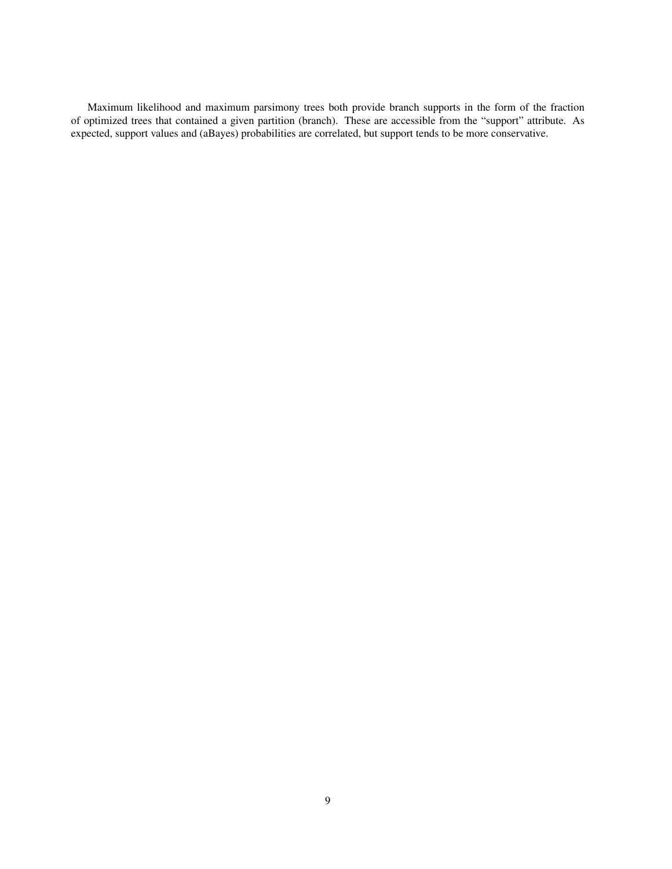Maximum likelihood and maximum parsimony trees both provide branch supports in the form of the fraction of optimized trees that contained a given partition (branch). These are accessible from the "support" attribute. As expected, support values and (aBayes) probabilities are correlated, but support tends to be more conservative.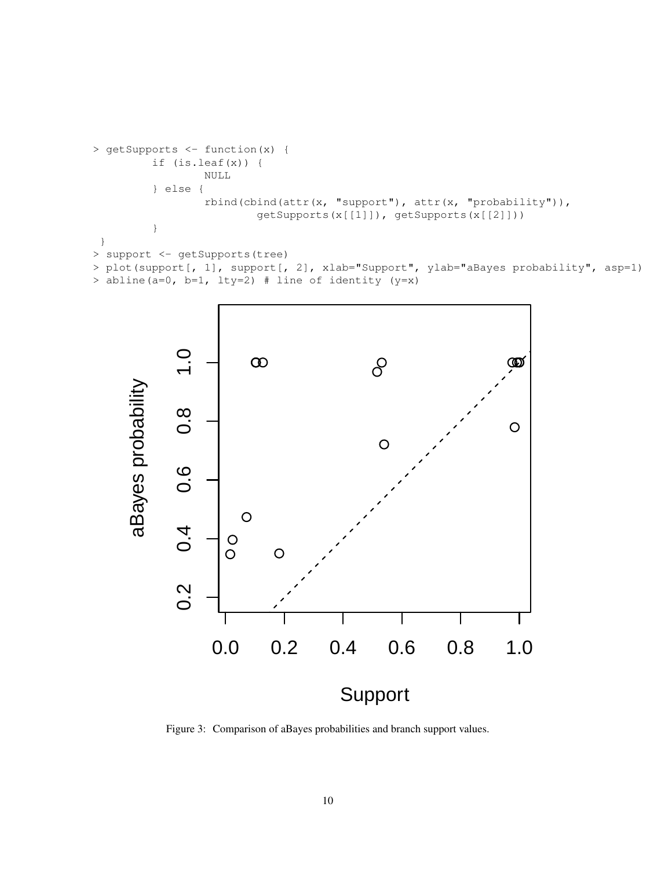```
> getSupports <- function(x) {
         if (is.leaf(x)) {
                 NULL
         } else {
                 rbind(cbind(attr(x, "support"), attr(x, "probability")),
                         getSupports(x[[1]]), getSupports(x[[2]]))
         }
 }
> support <- getSupports(tree)
> plot(support[, 1], support[, 2], xlab="Support", ylab="aBayes probability", asp=1)
```




Figure 3: Comparison of aBayes probabilities and branch support values.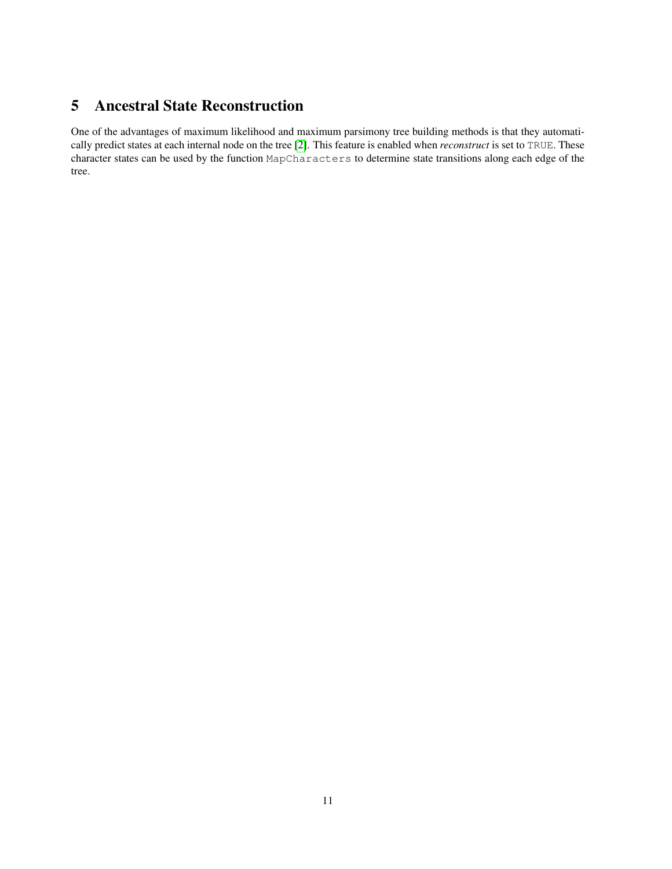## <span id="page-10-0"></span>5 Ancestral State Reconstruction

One of the advantages of maximum likelihood and maximum parsimony tree building methods is that they automatically predict states at each internal node on the tree [\[2\]](#page-12-2). This feature is enabled when *reconstruct* is set to TRUE. These character states can be used by the function MapCharacters to determine state transitions along each edge of the tree.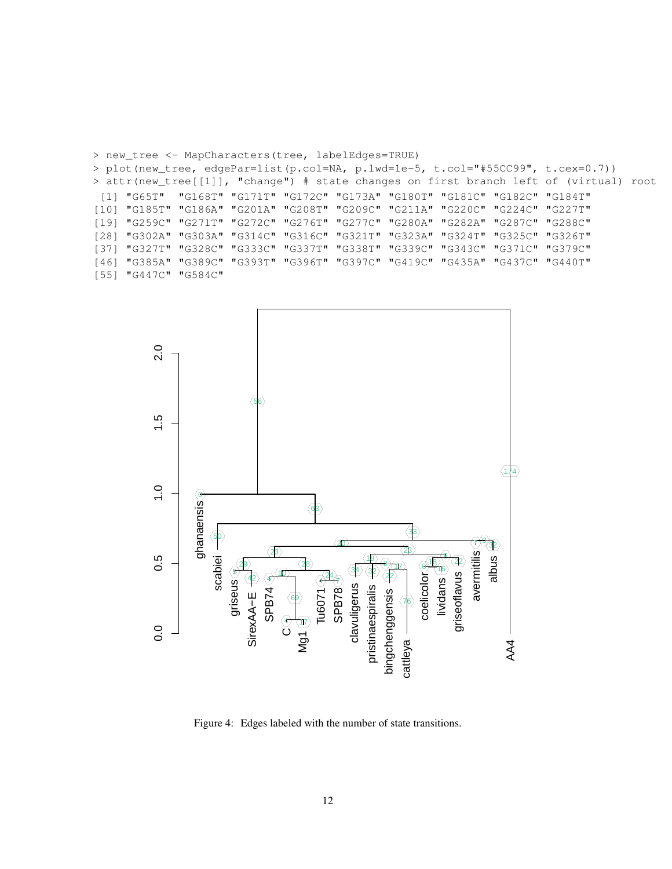

> new\_tree <- MapCharacters(tree, labelEdges=TRUE)

5 42

griseus

 $0.0$ 

SirexAA−E

SPB74

Figure 4: Edges labeled with the number of state transitions.

4<del>) (7</del>

34

clavuligerus

pristinaespiralis

22

bingchenggensis

76

coelicolor⊙<br>| lividans i<br>| griseoflavus

AA4

cattleya

Tu6071<br>SPB78

 $\frac{1}{4}$ 

69

4) (17 ပ Mg1